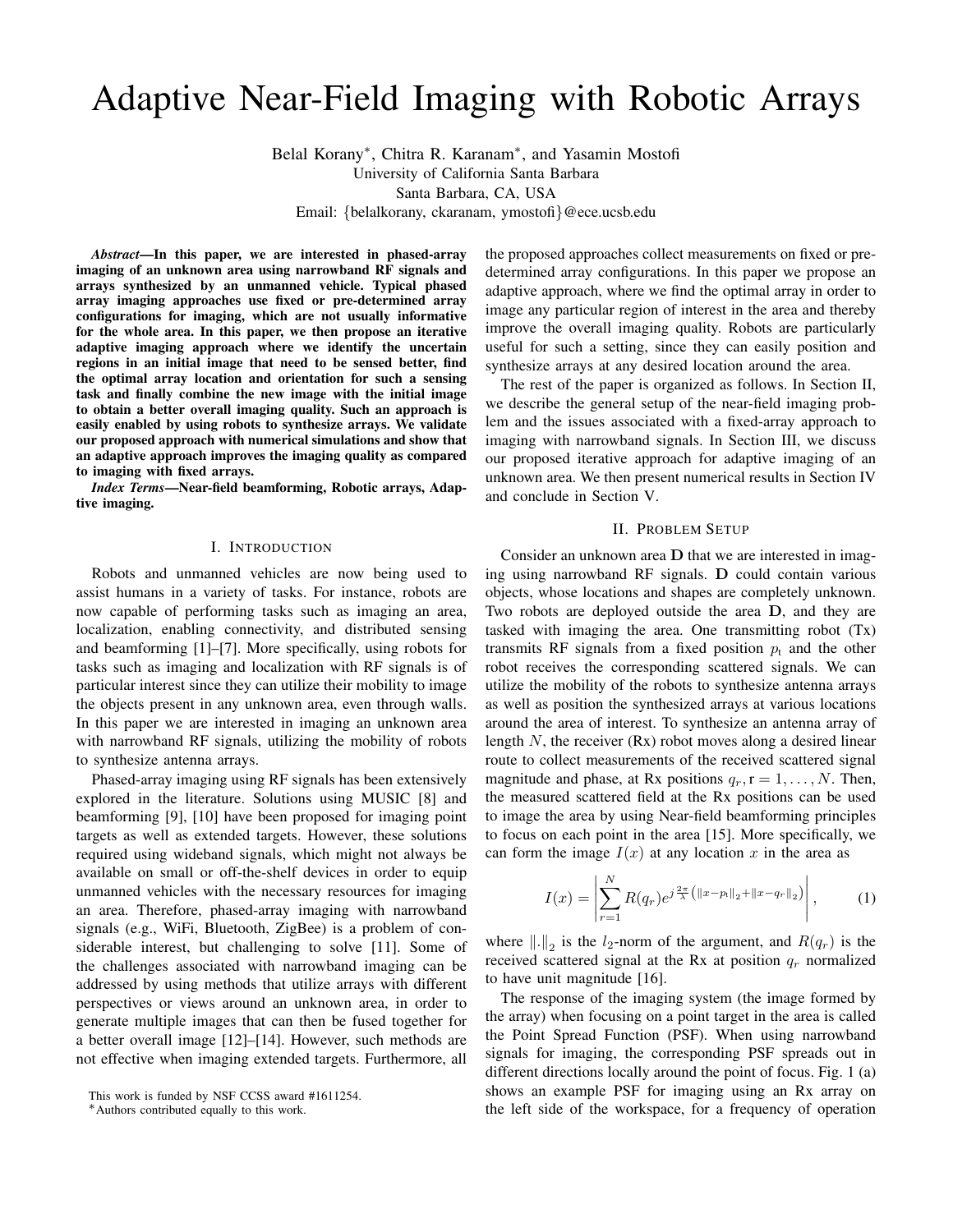# Adaptive Near-Field Imaging with Robotic Arrays

Belal Korany<sup>∗</sup> , Chitra R. Karanam<sup>∗</sup> , and Yasamin Mostofi

University of California Santa Barbara Santa Barbara, CA, USA

Email: {belalkorany, ckaranam, ymostofi}@ece.ucsb.edu

*Abstract*—In this paper, we are interested in phased-array imaging of an unknown area using narrowband RF signals and arrays synthesized by an unmanned vehicle. Typical phased array imaging approaches use fixed or pre-determined array configurations for imaging, which are not usually informative for the whole area. In this paper, we then propose an iterative adaptive imaging approach where we identify the uncertain regions in an initial image that need to be sensed better, find the optimal array location and orientation for such a sensing task and finally combine the new image with the initial image to obtain a better overall imaging quality. Such an approach is easily enabled by using robots to synthesize arrays. We validate our proposed approach with numerical simulations and show that an adaptive approach improves the imaging quality as compared to imaging with fixed arrays.

*Index Terms*—Near-field beamforming, Robotic arrays, Adaptive imaging.

# I. INTRODUCTION

Robots and unmanned vehicles are now being used to assist humans in a variety of tasks. For instance, robots are now capable of performing tasks such as imaging an area, localization, enabling connectivity, and distributed sensing and beamforming [1]–[7]. More specifically, using robots for tasks such as imaging and localization with RF signals is of particular interest since they can utilize their mobility to image the objects present in any unknown area, even through walls. In this paper we are interested in imaging an unknown area with narrowband RF signals, utilizing the mobility of robots to synthesize antenna arrays.

Phased-array imaging using RF signals has been extensively explored in the literature. Solutions using MUSIC [8] and beamforming [9], [10] have been proposed for imaging point targets as well as extended targets. However, these solutions required using wideband signals, which might not always be available on small or off-the-shelf devices in order to equip unmanned vehicles with the necessary resources for imaging an area. Therefore, phased-array imaging with narrowband signals (e.g., WiFi, Bluetooth, ZigBee) is a problem of considerable interest, but challenging to solve [11]. Some of the challenges associated with narrowband imaging can be addressed by using methods that utilize arrays with different perspectives or views around an unknown area, in order to generate multiple images that can then be fused together for a better overall image [12]–[14]. However, such methods are not effective when imaging extended targets. Furthermore, all

the proposed approaches collect measurements on fixed or predetermined array configurations. In this paper we propose an adaptive approach, where we find the optimal array in order to image any particular region of interest in the area and thereby improve the overall imaging quality. Robots are particularly useful for such a setting, since they can easily position and synthesize arrays at any desired location around the area.

The rest of the paper is organized as follows. In Section II, we describe the general setup of the near-field imaging problem and the issues associated with a fixed-array approach to imaging with narrowband signals. In Section III, we discuss our proposed iterative approach for adaptive imaging of an unknown area. We then present numerical results in Section IV and conclude in Section V.

#### II. PROBLEM SETUP

Consider an unknown area D that we are interested in imaging using narrowband RF signals. D could contain various objects, whose locations and shapes are completely unknown. Two robots are deployed outside the area D, and they are tasked with imaging the area. One transmitting robot (Tx) transmits RF signals from a fixed position  $p_t$  and the other robot receives the corresponding scattered signals. We can utilize the mobility of the robots to synthesize antenna arrays as well as position the synthesized arrays at various locations around the area of interest. To synthesize an antenna array of length  $N$ , the receiver  $(Rx)$  robot moves along a desired linear route to collect measurements of the received scattered signal magnitude and phase, at Rx positions  $q_r$ ,  $r = 1, \ldots, N$ . Then, the measured scattered field at the Rx positions can be used to image the area by using Near-field beamforming principles to focus on each point in the area [15]. More specifically, we can form the image  $I(x)$  at any location x in the area as

$$
I(x) = \left| \sum_{r=1}^{N} R(q_r) e^{j\frac{2\pi}{\lambda} (\|x - p_t\|_2 + \|x - q_r\|_2)} \right|,
$$
 (1)

where  $\| \ldotp \|_2$  is the  $l_2$ -norm of the argument, and  $R(q_r)$  is the received scattered signal at the Rx at position  $q_r$  normalized to have unit magnitude [16].

The response of the imaging system (the image formed by the array) when focusing on a point target in the area is called the Point Spread Function (PSF). When using narrowband signals for imaging, the corresponding PSF spreads out in different directions locally around the point of focus. Fig. 1 (a) shows an example PSF for imaging using an Rx array on the left side of the workspace, for a frequency of operation

This work is funded by NSF CCSS award #1611254.

<sup>∗</sup>Authors contributed equally to this work.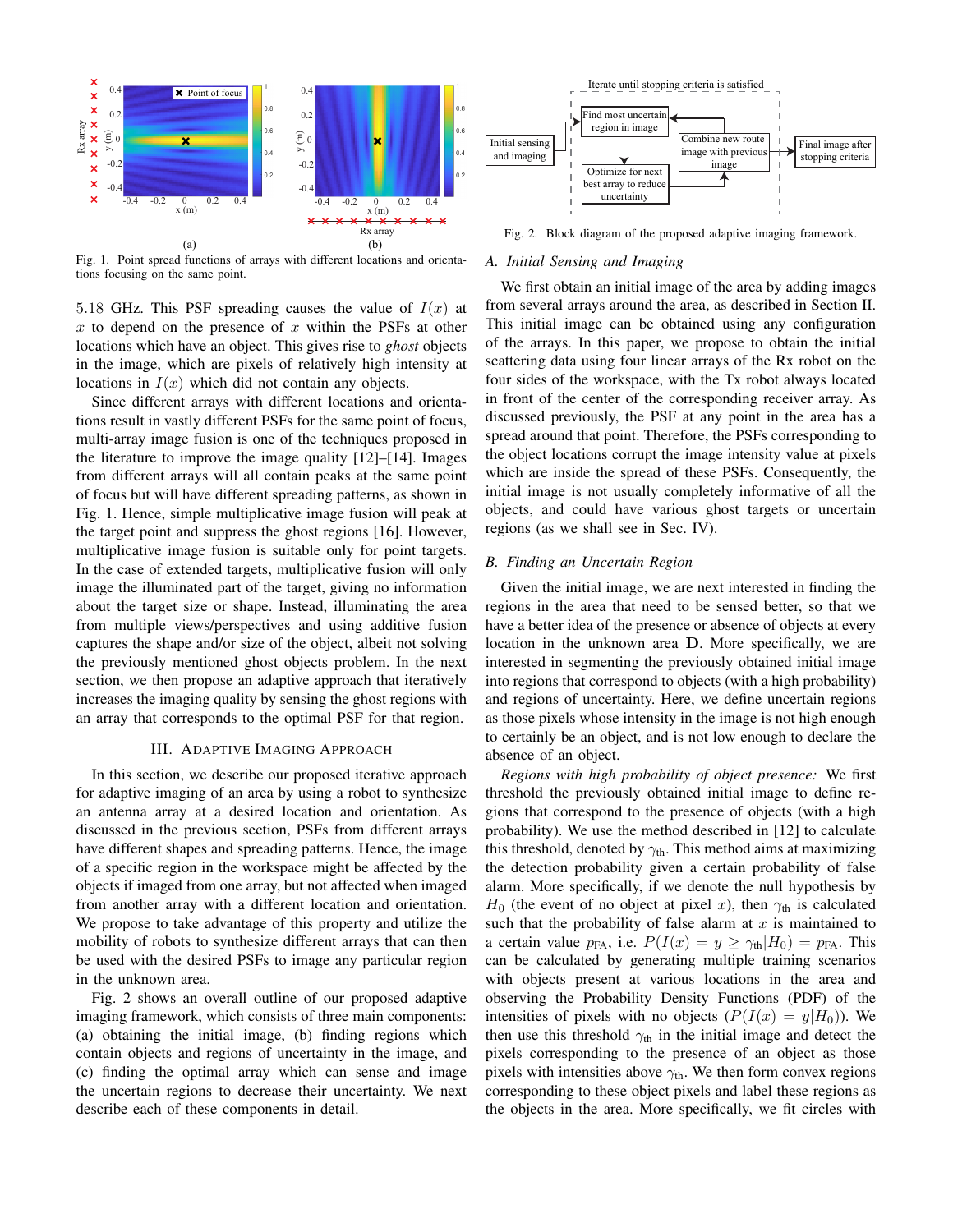

Fig. 1. Point spread functions of arrays with different locations and orientations focusing on the same point.

5.18 GHz. This PSF spreading causes the value of  $I(x)$  at x to depend on the presence of x within the PSFs at other locations which have an object. This gives rise to *ghost* objects in the image, which are pixels of relatively high intensity at locations in  $I(x)$  which did not contain any objects.

Since different arrays with different locations and orientations result in vastly different PSFs for the same point of focus, multi-array image fusion is one of the techniques proposed in the literature to improve the image quality [12]–[14]. Images from different arrays will all contain peaks at the same point of focus but will have different spreading patterns, as shown in Fig. 1. Hence, simple multiplicative image fusion will peak at the target point and suppress the ghost regions [16]. However, multiplicative image fusion is suitable only for point targets. In the case of extended targets, multiplicative fusion will only image the illuminated part of the target, giving no information about the target size or shape. Instead, illuminating the area from multiple views/perspectives and using additive fusion captures the shape and/or size of the object, albeit not solving the previously mentioned ghost objects problem. In the next section, we then propose an adaptive approach that iteratively increases the imaging quality by sensing the ghost regions with an array that corresponds to the optimal PSF for that region.

# III. ADAPTIVE IMAGING APPROACH

In this section, we describe our proposed iterative approach for adaptive imaging of an area by using a robot to synthesize an antenna array at a desired location and orientation. As discussed in the previous section, PSFs from different arrays have different shapes and spreading patterns. Hence, the image of a specific region in the workspace might be affected by the objects if imaged from one array, but not affected when imaged from another array with a different location and orientation. We propose to take advantage of this property and utilize the mobility of robots to synthesize different arrays that can then be used with the desired PSFs to image any particular region in the unknown area.

Fig. 2 shows an overall outline of our proposed adaptive imaging framework, which consists of three main components: (a) obtaining the initial image, (b) finding regions which contain objects and regions of uncertainty in the image, and (c) finding the optimal array which can sense and image the uncertain regions to decrease their uncertainty. We next describe each of these components in detail.



Fig. 2. Block diagram of the proposed adaptive imaging framework.

#### *A. Initial Sensing and Imaging*

We first obtain an initial image of the area by adding images from several arrays around the area, as described in Section II. This initial image can be obtained using any configuration of the arrays. In this paper, we propose to obtain the initial scattering data using four linear arrays of the Rx robot on the four sides of the workspace, with the Tx robot always located in front of the center of the corresponding receiver array. As discussed previously, the PSF at any point in the area has a spread around that point. Therefore, the PSFs corresponding to the object locations corrupt the image intensity value at pixels which are inside the spread of these PSFs. Consequently, the initial image is not usually completely informative of all the objects, and could have various ghost targets or uncertain regions (as we shall see in Sec. IV).

## *B. Finding an Uncertain Region*

Given the initial image, we are next interested in finding the regions in the area that need to be sensed better, so that we have a better idea of the presence or absence of objects at every location in the unknown area D. More specifically, we are interested in segmenting the previously obtained initial image into regions that correspond to objects (with a high probability) and regions of uncertainty. Here, we define uncertain regions as those pixels whose intensity in the image is not high enough to certainly be an object, and is not low enough to declare the absence of an object.

*Regions with high probability of object presence:* We first threshold the previously obtained initial image to define regions that correspond to the presence of objects (with a high probability). We use the method described in [12] to calculate this threshold, denoted by  $\gamma_{\text{th}}$ . This method aims at maximizing the detection probability given a certain probability of false alarm. More specifically, if we denote the null hypothesis by  $H_0$  (the event of no object at pixel x), then  $\gamma_{th}$  is calculated such that the probability of false alarm at  $x$  is maintained to a certain value  $p_{FA}$ , i.e.  $P(I(x) = y \ge \gamma_{th}|H_0) = p_{FA}$ . This can be calculated by generating multiple training scenarios with objects present at various locations in the area and observing the Probability Density Functions (PDF) of the intensities of pixels with no objects  $(P(I(x) = y|H_0))$ . We then use this threshold  $\gamma_{th}$  in the initial image and detect the pixels corresponding to the presence of an object as those pixels with intensities above  $\gamma_{\text{th}}$ . We then form convex regions corresponding to these object pixels and label these regions as the objects in the area. More specifically, we fit circles with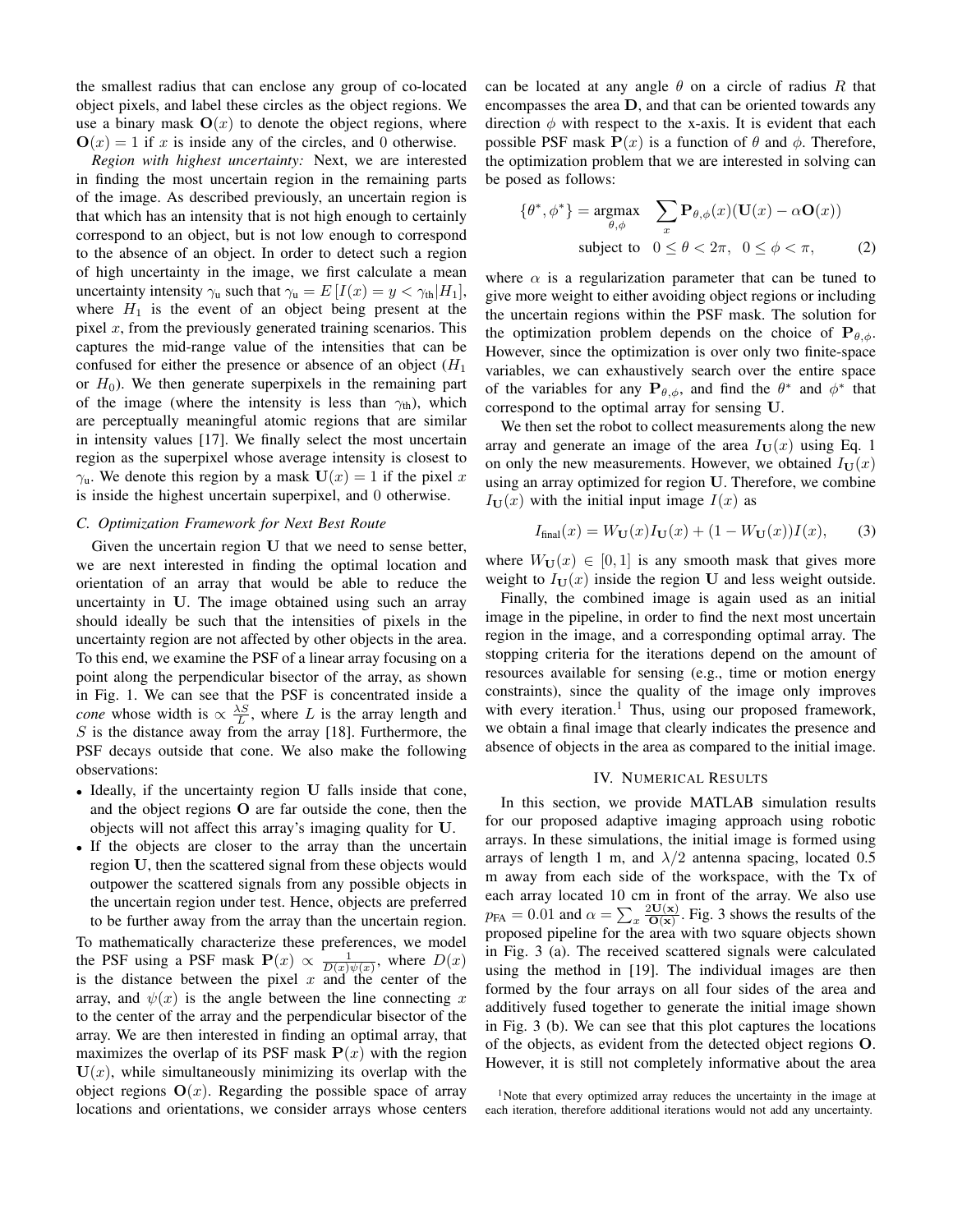the smallest radius that can enclose any group of co-located object pixels, and label these circles as the object regions. We use a binary mask  $\mathbf{O}(x)$  to denote the object regions, where  $\mathbf{O}(x) = 1$  if x is inside any of the circles, and 0 otherwise.

*Region with highest uncertainty:* Next, we are interested in finding the most uncertain region in the remaining parts of the image. As described previously, an uncertain region is that which has an intensity that is not high enough to certainly correspond to an object, but is not low enough to correspond to the absence of an object. In order to detect such a region of high uncertainty in the image, we first calculate a mean uncertainty intensity  $\gamma_u$  such that  $\gamma_u = E[I(x) = y < \gamma_{th}|H_1]$ , where  $H_1$  is the event of an object being present at the pixel  $x$ , from the previously generated training scenarios. This captures the mid-range value of the intensities that can be confused for either the presence or absence of an object  $(H_1)$ or  $H_0$ ). We then generate superpixels in the remaining part of the image (where the intensity is less than  $\gamma_{\text{th}}$ ), which are perceptually meaningful atomic regions that are similar in intensity values [17]. We finally select the most uncertain region as the superpixel whose average intensity is closest to  $\gamma$ <sub>u</sub>. We denote this region by a mask  $U(x) = 1$  if the pixel x is inside the highest uncertain superpixel, and 0 otherwise.

### *C. Optimization Framework for Next Best Route*

Given the uncertain region U that we need to sense better, we are next interested in finding the optimal location and orientation of an array that would be able to reduce the uncertainty in U. The image obtained using such an array should ideally be such that the intensities of pixels in the uncertainty region are not affected by other objects in the area. To this end, we examine the PSF of a linear array focusing on a point along the perpendicular bisector of the array, as shown in Fig. 1. We can see that the PSF is concentrated inside a *cone* whose width is  $\propto \frac{\lambda S}{L}$ , where L is the array length and  $S$  is the distance away from the array [18]. Furthermore, the PSF decays outside that cone. We also make the following observations:

- Ideally, if the uncertainty region U falls inside that cone, and the object regions O are far outside the cone, then the objects will not affect this array's imaging quality for U.
- If the objects are closer to the array than the uncertain region U, then the scattered signal from these objects would outpower the scattered signals from any possible objects in the uncertain region under test. Hence, objects are preferred to be further away from the array than the uncertain region.

To mathematically characterize these preferences, we model the PSF using a PSF mask  $P(x) \propto \frac{1}{D(x)\psi(x)}$ , where  $D(x)$ is the distance between the pixel x and the center of the array, and  $\psi(x)$  is the angle between the line connecting x to the center of the array and the perpendicular bisector of the array. We are then interested in finding an optimal array, that maximizes the overlap of its PSF mask  $P(x)$  with the region  $U(x)$ , while simultaneously minimizing its overlap with the object regions  $O(x)$ . Regarding the possible space of array locations and orientations, we consider arrays whose centers can be located at any angle  $\theta$  on a circle of radius R that encompasses the area D, and that can be oriented towards any direction  $\phi$  with respect to the x-axis. It is evident that each possible PSF mask  $P(x)$  is a function of  $\theta$  and  $\phi$ . Therefore, the optimization problem that we are interested in solving can be posed as follows:

$$
\{\theta^*, \phi^*\} = \underset{\theta, \phi}{\text{argmax}} \quad \sum_{x} \mathbf{P}_{\theta, \phi}(x) (\mathbf{U}(x) - \alpha \mathbf{O}(x))
$$
\n
$$
\text{subject to} \quad 0 \le \theta < 2\pi, \quad 0 \le \phi < \pi,\tag{2}
$$

where  $\alpha$  is a regularization parameter that can be tuned to give more weight to either avoiding object regions or including the uncertain regions within the PSF mask. The solution for the optimization problem depends on the choice of  $P_{\theta, \phi}$ . However, since the optimization is over only two finite-space variables, we can exhaustively search over the entire space of the variables for any  $\mathbf{P}_{\theta,\phi}$ , and find the  $\theta^*$  and  $\phi^*$  that correspond to the optimal array for sensing U.

We then set the robot to collect measurements along the new array and generate an image of the area  $I_U(x)$  using Eq. 1 on only the new measurements. However, we obtained  $I_U(x)$ using an array optimized for region U. Therefore, we combine  $I_{\mathbf{U}}(x)$  with the initial input image  $I(x)$  as

$$
I_{\text{final}}(x) = W_{\mathbf{U}}(x)I_{\mathbf{U}}(x) + (1 - W_{\mathbf{U}}(x))I(x), \quad (3)
$$

where  $W_U(x) \in [0,1]$  is any smooth mask that gives more weight to  $I_{\mathbf{U}}(x)$  inside the region U and less weight outside.

Finally, the combined image is again used as an initial image in the pipeline, in order to find the next most uncertain region in the image, and a corresponding optimal array. The stopping criteria for the iterations depend on the amount of resources available for sensing (e.g., time or motion energy constraints), since the quality of the image only improves with every iteration.<sup>1</sup> Thus, using our proposed framework, we obtain a final image that clearly indicates the presence and absence of objects in the area as compared to the initial image.

#### IV. NUMERICAL RESULTS

In this section, we provide MATLAB simulation results for our proposed adaptive imaging approach using robotic arrays. In these simulations, the initial image is formed using arrays of length 1 m, and  $\lambda/2$  antenna spacing, located 0.5 m away from each side of the workspace, with the Tx of each array located 10 cm in front of the array. We also use  $p_{FA} = 0.01$  and  $\alpha = \sum_{x} \frac{2U(x)}{O(x)}$  $\frac{\partial U(x)}{\partial (x)}$ . Fig. 3 shows the results of the proposed pipeline for the area with two square objects shown in Fig. 3 (a). The received scattered signals were calculated using the method in [19]. The individual images are then formed by the four arrays on all four sides of the area and additively fused together to generate the initial image shown in Fig. 3 (b). We can see that this plot captures the locations of the objects, as evident from the detected object regions O. However, it is still not completely informative about the area

<sup>&</sup>lt;sup>1</sup>Note that every optimized array reduces the uncertainty in the image at each iteration, therefore additional iterations would not add any uncertainty.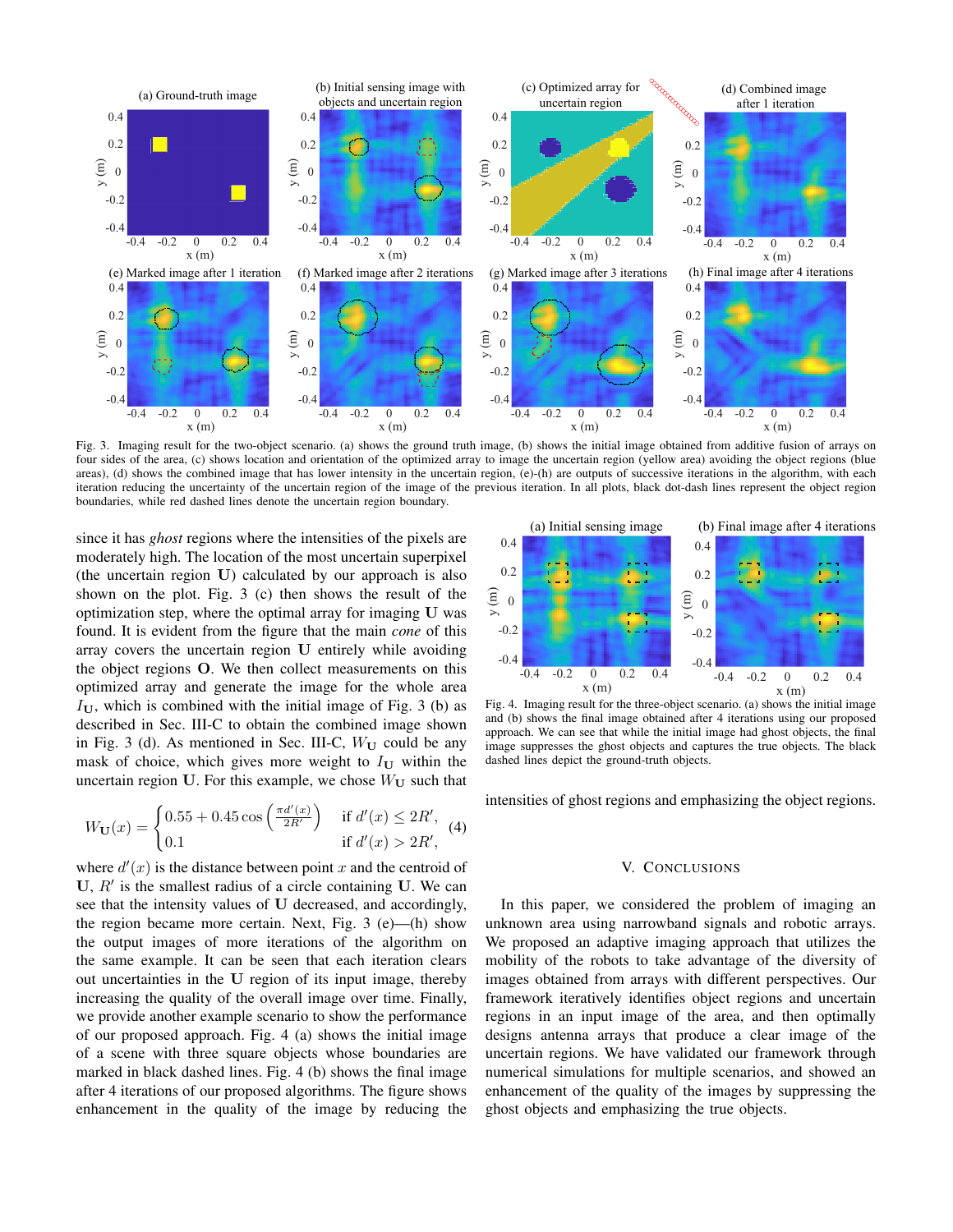

Fig. 3. Imaging result for the two-object scenario. (a) shows the ground truth image, (b) shows the initial image obtained from additive fusion of arrays on four sides of the area, (c) shows location and orientation of the optimized array to image the uncertain region (yellow area) avoiding the object regions (blue areas), (d) shows the combined image that has lower intensity in the uncertain region, (e)-(h) are outputs of successive iterations in the algorithm, with each iteration reducing the uncertainty of the uncertain region of the image of the previous iteration. In all plots, black dot-dash lines represent the object region boundaries, while red dashed lines denote the uncertain region boundary.

since it has *ghost* regions where the intensities of the pixels are moderately high. The location of the most uncertain superpixel (the uncertain region U) calculated by our approach is also shown on the plot. Fig. 3 (c) then shows the result of the optimization step, where the optimal array for imaging U was found. It is evident from the figure that the main *cone* of this array covers the uncertain region U entirely while avoiding the object regions O. We then collect measurements on this optimized array and generate the image for the whole area  $I_{\text{U}}$ , which is combined with the initial image of Fig. 3 (b) as described in Sec. III-C to obtain the combined image shown in Fig. 3 (d). As mentioned in Sec. III-C,  $W_U$  could be any mask of choice, which gives more weight to  $I_U$  within the uncertain region U. For this example, we chose  $W_U$  such that

$$
W_{\mathbf{U}}(x) = \begin{cases} 0.55 + 0.45 \cos\left(\frac{\pi d'(x)}{2R'}\right) & \text{if } d'(x) \le 2R', \\ 0.1 & \text{if } d'(x) > 2R', \end{cases}
$$
 (4)

where  $d'(x)$  is the distance between point x and the centroid of  $U, R'$  is the smallest radius of a circle containing  $U$ . We can see that the intensity values of U decreased, and accordingly, the region became more certain. Next, Fig. 3 (e)—(h) show the output images of more iterations of the algorithm on the same example. It can be seen that each iteration clears out uncertainties in the U region of its input image, thereby increasing the quality of the overall image over time. Finally, we provide another example scenario to show the performance of our proposed approach. Fig. 4 (a) shows the initial image of a scene with three square objects whose boundaries are marked in black dashed lines. Fig. 4 (b) shows the final image after 4 iterations of our proposed algorithms. The figure shows enhancement in the quality of the image by reducing the



Fig. 4. Imaging result for the three-object scenario. (a) shows the initial image and (b) shows the final image obtained after 4 iterations using our proposed approach. We can see that while the initial image had ghost objects, the final image suppresses the ghost objects and captures the true objects. The black dashed lines depict the ground-truth objects.

intensities of ghost regions and emphasizing the object regions.

#### V. CONCLUSIONS

In this paper, we considered the problem of imaging an unknown area using narrowband signals and robotic arrays. We proposed an adaptive imaging approach that utilizes the mobility of the robots to take advantage of the diversity of images obtained from arrays with different perspectives. Our framework iteratively identifies object regions and uncertain regions in an input image of the area, and then optimally designs antenna arrays that produce a clear image of the uncertain regions. We have validated our framework through numerical simulations for multiple scenarios, and showed an enhancement of the quality of the images by suppressing the ghost objects and emphasizing the true objects.